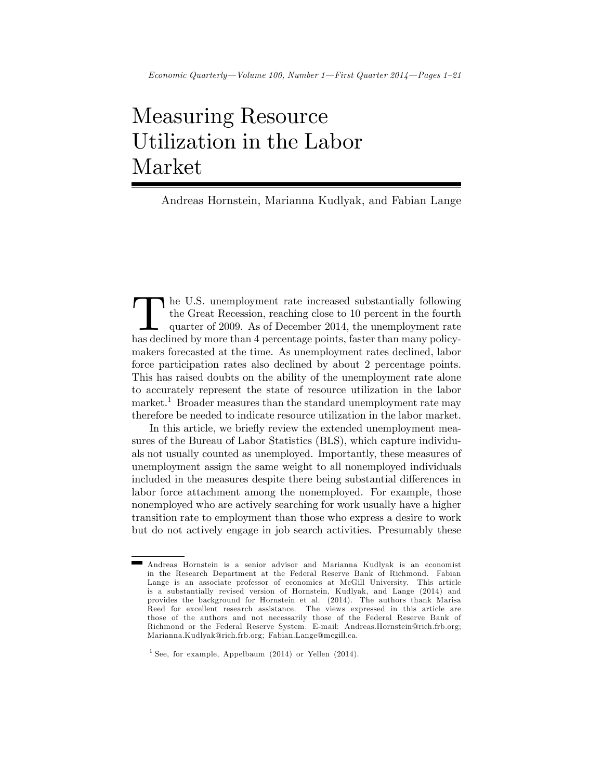# Measuring Resource Utilization in the Labor Market

Andreas Hornstein, Marianna Kudlyak, and Fabian Lange

The U.S. unemployment rate increased substantially following the Great Recession, reaching close to 10 percent in the fourth quarter of 2009. As of December 2014, the unemployment rate has declined by more than 4 percentag he U.S. unemployment rate increased substantially following the Great Recession, reaching close to 10 percent in the fourth quarter of 2009. As of December 2014, the unemployment rate makers forecasted at the time. As unemployment rates declined, labor force participation rates also declined by about 2 percentage points. This has raised doubts on the ability of the unemployment rate alone to accurately represent the state of resource utilization in the labor market.<sup>1</sup> Broader measures than the standard unemployment rate may therefore be needed to indicate resource utilization in the labor market.

In this article, we briefly review the extended unemployment measures of the Bureau of Labor Statistics (BLS), which capture individuals not usually counted as unemployed. Importantly, these measures of unemployment assign the same weight to all nonemployed individuals included in the measures despite there being substantial differences in labor force attachment among the nonemployed. For example, those nonemployed who are actively searching for work usually have a higher transition rate to employment than those who express a desire to work but do not actively engage in job search activities. Presumably these

Andreas Hornstein is a senior advisor and Marianna Kudlyak is an economist in the Research Department at the Federal Reserve Bank of Richmond. Fabian Lange is an associate professor of economics at McGill University. This article is a substantially revised version of Hornstein, Kudlyak, and Lange (2014) and provides the background for Hornstein et al. (2014). The authors thank Marisa Reed for excellent research assistance. The views expressed in this article are those of the authors and not necessarily those of the Federal Reserve Bank of Richmond or the Federal Reserve System. E-mail: Andreas.Hornstein@rich.frb.org; Marianna.Kudlyak@rich.frb.org; Fabian.Lange@mcgill.ca.

<sup>&</sup>lt;sup>1</sup> See, for example, Appelbaum  $(2014)$  or Yellen  $(2014)$ .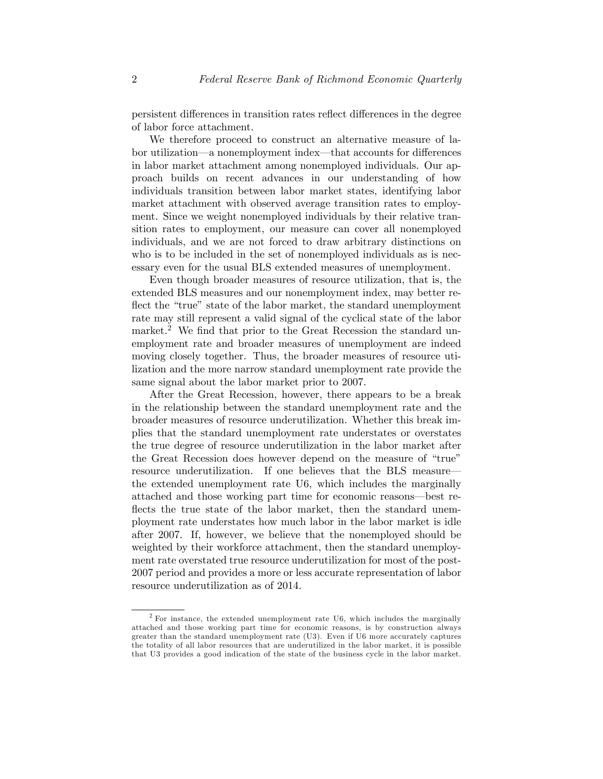persistent differences in transition rates reflect differences in the degree of labor force attachment.

We therefore proceed to construct an alternative measure of labor utilization—a nonemployment index—that accounts for differences in labor market attachment among nonemployed individuals. Our approach builds on recent advances in our understanding of how individuals transition between labor market states, identifying labor market attachment with observed average transition rates to employment. Since we weight nonemployed individuals by their relative transition rates to employment, our measure can cover all nonemployed individuals, and we are not forced to draw arbitrary distinctions on who is to be included in the set of nonemployed individuals as is necessary even for the usual BLS extended measures of unemployment.

Even though broader measures of resource utilization, that is, the extended BLS measures and our nonemployment index, may better reflect the "true" state of the labor market, the standard unemployment rate may still represent a valid signal of the cyclical state of the labor market.<sup>2</sup> We find that prior to the Great Recession the standard unemployment rate and broader measures of unemployment are indeed moving closely together. Thus, the broader measures of resource utilization and the more narrow standard unemployment rate provide the same signal about the labor market prior to 2007.

After the Great Recession, however, there appears to be a break in the relationship between the standard unemployment rate and the broader measures of resource underutilization. Whether this break implies that the standard unemployment rate understates or overstates the true degree of resource underutilization in the labor market after the Great Recession does however depend on the measure of "true" resource underutilization. If one believes that the BLS measure the extended unemployment rate U6, which includes the marginally attached and those working part time for economic reasons—best reflects the true state of the labor market, then the standard unemployment rate understates how much labor in the labor market is idle after 2007. If, however, we believe that the nonemployed should be weighted by their workforce attachment, then the standard unemployment rate overstated true resource underutilization for most of the post-2007 period and provides a more or less accurate representation of labor resource underutilization as of 2014.

 $2$  For instance, the extended unemployment rate U6, which includes the marginally attached and those working part time for economic reasons, is by construction always greater than the standard unemployment rate (U3). Even if U6 more accurately captures the totality of all labor resources that are underutilized in the labor market, it is possible that U3 provides a good indication of the state of the business cycle in the labor market.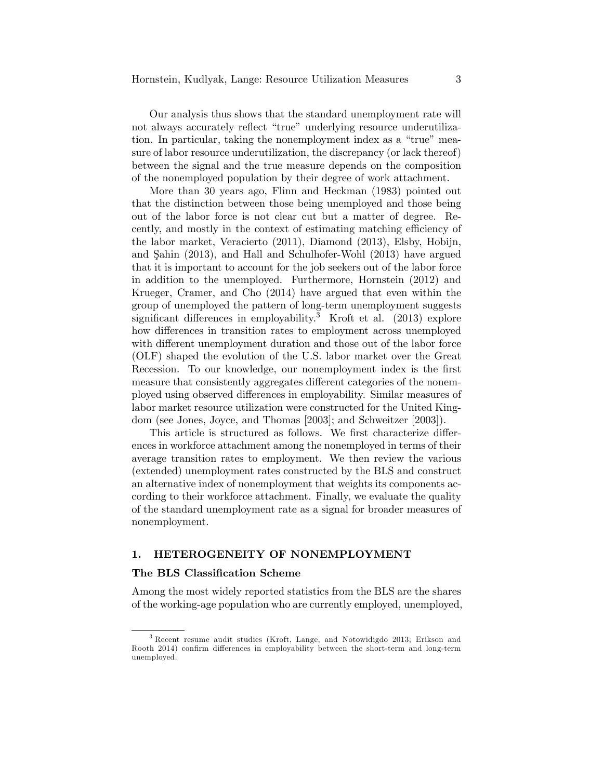Our analysis thus shows that the standard unemployment rate will not always accurately reflect "true" underlying resource underutilization. In particular, taking the nonemployment index as a "true" measure of labor resource underutilization, the discrepancy (or lack thereof) between the signal and the true measure depends on the composition of the nonemployed population by their degree of work attachment.

More than 30 years ago, Flinn and Heckman (1983) pointed out that the distinction between those being unemployed and those being out of the labor force is not clear cut but a matter of degree. Recently, and mostly in the context of estimating matching efficiency of the labor market, Veracierto (2011), Diamond (2013), Elsby, Hobijn, and Şahin (2013), and Hall and Schulhofer-Wohl (2013) have argued that it is important to account for the job seekers out of the labor force in addition to the unemployed. Furthermore, Hornstein (2012) and Krueger, Cramer, and Cho (2014) have argued that even within the group of unemployed the pattern of long-term unemployment suggests significant differences in employability.<sup>3</sup> Kroft et al.  $(2013)$  explore how differences in transition rates to employment across unemployed with different unemployment duration and those out of the labor force (OLF) shaped the evolution of the U.S. labor market over the Great Recession. To our knowledge, our nonemployment index is the first measure that consistently aggregates different categories of the nonemployed using observed differences in employability. Similar measures of labor market resource utilization were constructed for the United Kingdom (see Jones, Joyce, and Thomas [2003]; and Schweitzer [2003]).

This article is structured as follows. We first characterize differences in workforce attachment among the nonemployed in terms of their average transition rates to employment. We then review the various (extended) unemployment rates constructed by the BLS and construct an alternative index of nonemployment that weights its components according to their workforce attachment. Finally, we evaluate the quality of the standard unemployment rate as a signal for broader measures of nonemployment.

## 1. HETEROGENEITY OF NONEMPLOYMENT

## The BLS Classication Scheme

Among the most widely reported statistics from the BLS are the shares of the working-age population who are currently employed, unemployed,

<sup>&</sup>lt;sup>3</sup> Recent resume audit studies (Kroft, Lange, and Notowidigdo 2013; Erikson and Rooth 2014) confirm differences in employability between the short-term and long-term unemployed.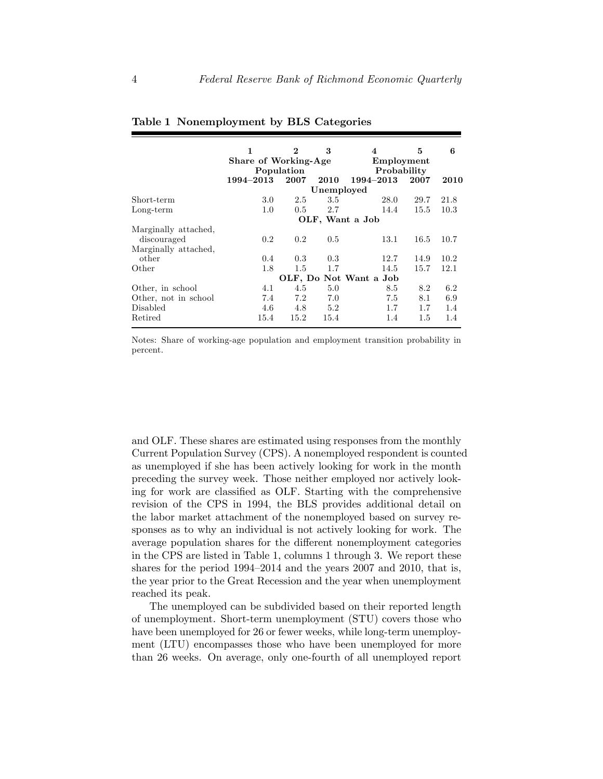|                      | 1                    | $\bf{2}$   | 3             | 4                      | 5    | 6    |  |
|----------------------|----------------------|------------|---------------|------------------------|------|------|--|
|                      | Share of Working-Age |            |               | Employment             |      |      |  |
|                      |                      | Population |               | Probability            |      |      |  |
|                      | 1994–2013            | 2007       | 2010          | 1994–2013              | 2007 | 2010 |  |
|                      | Unemployed           |            |               |                        |      |      |  |
| Short-term           | 3.0                  | 2.5        | 3.5           | 28.0                   | 29.7 | 21.8 |  |
| $Long-term$          | 1.0                  | 0.5        | 2.7           | 14.4                   | 15.5 | 10.3 |  |
|                      | OLF, Want a Job      |            |               |                        |      |      |  |
| Marginally attached, |                      |            |               |                        |      |      |  |
| discouraged          | $0.2^{\circ}$        | 0.2        | $0.5^{\circ}$ | 13.1                   | 16.5 | 10.7 |  |
| Marginally attached, |                      |            |               |                        |      |      |  |
| other                | 0.4                  | 0.3        | 0.3           | 12.7                   | 14.9 | 10.2 |  |
| Other                | 1.8                  | 1.5        | 1.7           | 14.5                   | 15.7 | 12.1 |  |
|                      |                      |            |               | OLF, Do Not Want a Job |      |      |  |
| Other, in school     | 4.1                  | 4.5        | 5.0           | 8.5                    | 8.2  | 6.2  |  |
| Other, not in school | 7.4                  | 7.2        | 7.0           | 7.5                    | 8.1  | 6.9  |  |
| <b>Disabled</b>      | 4.6                  | 4.8        | 5.2           | 1.7                    | 1.7  | 1.4  |  |
| Retired              | 15.4                 | 15.2       | 15.4          | 1.4                    | 1.5  | 1.4  |  |

### Table 1 Nonemployment by BLS Categories

Notes: Share of working-age population and employment transition probability in percent.

and OLF. These shares are estimated using responses from the monthly Current Population Survey (CPS). A nonemployed respondent is counted as unemployed if she has been actively looking for work in the month preceding the survey week. Those neither employed nor actively looking for work are classified as OLF. Starting with the comprehensive revision of the CPS in 1994, the BLS provides additional detail on the labor market attachment of the nonemployed based on survey responses as to why an individual is not actively looking for work. The average population shares for the different nonemployment categories in the CPS are listed in Table 1, columns 1 through 3. We report these shares for the period  $1994-2014$  and the years 2007 and 2010, that is, the year prior to the Great Recession and the year when unemployment reached its peak.

The unemployed can be subdivided based on their reported length of unemployment. Short-term unemployment (STU) covers those who have been unemployed for 26 or fewer weeks, while long-term unemployment (LTU) encompasses those who have been unemployed for more than 26 weeks. On average, only one-fourth of all unemployed report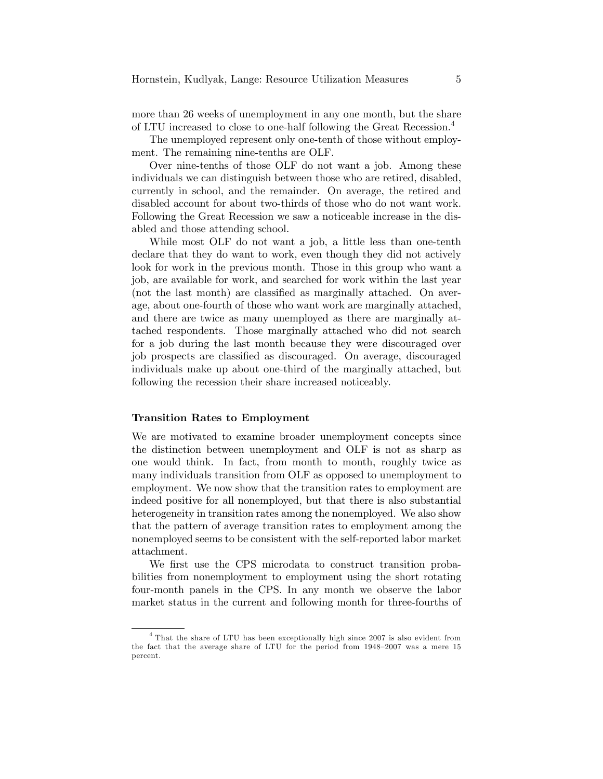more than 26 weeks of unemployment in any one month, but the share of LTU increased to close to one-half following the Great Recession.<sup>4</sup>

The unemployed represent only one-tenth of those without employment. The remaining nine-tenths are OLF.

Over nine-tenths of those OLF do not want a job. Among these individuals we can distinguish between those who are retired, disabled, currently in school, and the remainder. On average, the retired and disabled account for about two-thirds of those who do not want work. Following the Great Recession we saw a noticeable increase in the disabled and those attending school.

While most OLF do not want a job, a little less than one-tenth declare that they do want to work, even though they did not actively look for work in the previous month. Those in this group who want a job, are available for work, and searched for work within the last year (not the last month) are classified as marginally attached. On average, about one-fourth of those who want work are marginally attached, and there are twice as many unemployed as there are marginally attached respondents. Those marginally attached who did not search for a job during the last month because they were discouraged over job prospects are classified as discouraged. On average, discouraged individuals make up about one-third of the marginally attached, but following the recession their share increased noticeably.

#### Transition Rates to Employment

We are motivated to examine broader unemployment concepts since the distinction between unemployment and OLF is not as sharp as one would think. In fact, from month to month, roughly twice as many individuals transition from OLF as opposed to unemployment to employment. We now show that the transition rates to employment are indeed positive for all nonemployed, but that there is also substantial heterogeneity in transition rates among the nonemployed. We also show that the pattern of average transition rates to employment among the nonemployed seems to be consistent with the self-reported labor market attachment.

We first use the CPS microdata to construct transition probabilities from nonemployment to employment using the short rotating four-month panels in the CPS. In any month we observe the labor market status in the current and following month for three-fourths of

<sup>4</sup> That the share of LTU has been exceptionally high since 2007 is also evident from the fact that the average share of LTU for the period from  $1948-2007$  was a mere 15 percent.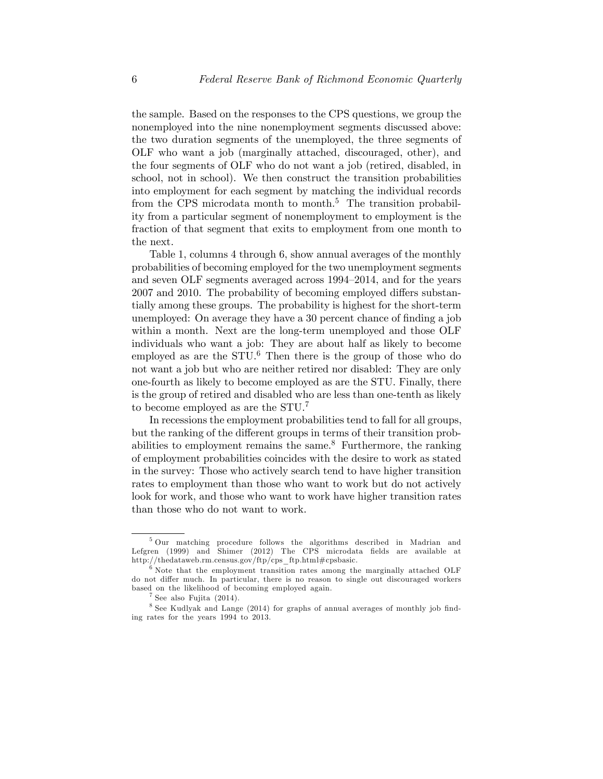the sample. Based on the responses to the CPS questions, we group the nonemployed into the nine nonemployment segments discussed above: the two duration segments of the unemployed, the three segments of OLF who want a job (marginally attached, discouraged, other), and the four segments of OLF who do not want a job (retired, disabled, in school, not in school). We then construct the transition probabilities into employment for each segment by matching the individual records from the CPS microdata month to month.<sup>5</sup> The transition probability from a particular segment of nonemployment to employment is the fraction of that segment that exits to employment from one month to the next.

Table 1, columns 4 through 6, show annual averages of the monthly probabilities of becoming employed for the two unemployment segments and seven OLF segments averaged across 1994–2014, and for the years 2007 and 2010. The probability of becoming employed differs substantially among these groups. The probability is highest for the short-term unemployed: On average they have a 30 percent chance of finding a job within a month. Next are the long-term unemployed and those OLF individuals who want a job: They are about half as likely to become employed as are the  $STU$ .<sup>6</sup> Then there is the group of those who do not want a job but who are neither retired nor disabled: They are only one-fourth as likely to become employed as are the STU. Finally, there is the group of retired and disabled who are less than one-tenth as likely to become employed as are the STU.<sup>7</sup>

In recessions the employment probabilities tend to fall for all groups, but the ranking of the different groups in terms of their transition probabilities to employment remains the same.<sup>8</sup> Furthermore, the ranking of employment probabilities coincides with the desire to work as stated in the survey: Those who actively search tend to have higher transition rates to employment than those who want to work but do not actively look for work, and those who want to work have higher transition rates than those who do not want to work.

<sup>5</sup> Our matching procedure follows the algorithms described in Madrian and Lefgren (1999) and Shimer (2012) The CPS microdata fields are available at http://thedataweb.rm.census.gov/ftp/cps\_ftp.html#cpsbasic.

 $6$  Note that the employment transition rates among the marginally attached OLF do not differ much. In particular, there is no reason to single out discouraged workers based on the likelihood of becoming employed again.

<sup>7</sup> See also Fujita (2014).

<sup>&</sup>lt;sup>8</sup> See Kudlyak and Lange (2014) for graphs of annual averages of monthly job finding rates for the years 1994 to 2013.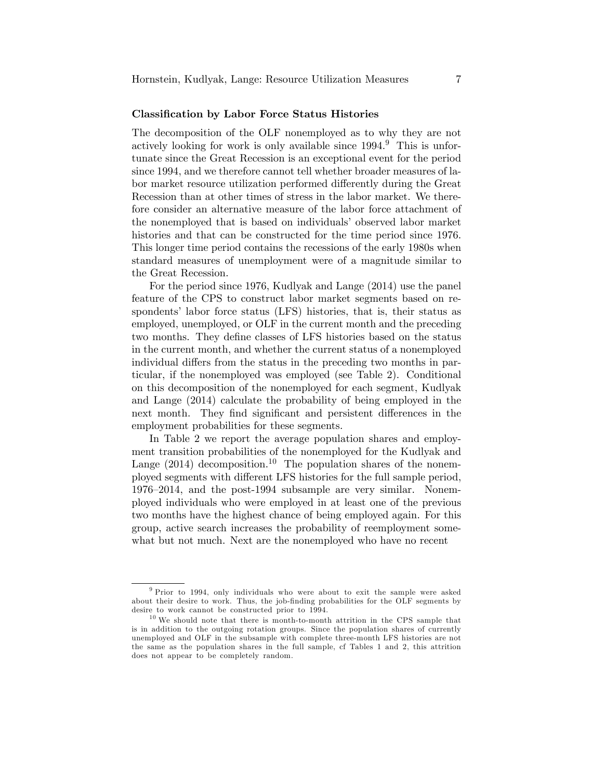### Classication by Labor Force Status Histories

The decomposition of the OLF nonemployed as to why they are not actively looking for work is only available since  $1994<sup>9</sup>$ . This is unfortunate since the Great Recession is an exceptional event for the period since 1994, and we therefore cannot tell whether broader measures of labor market resource utilization performed differently during the Great Recession than at other times of stress in the labor market. We therefore consider an alternative measure of the labor force attachment of the nonemployed that is based on individuals' observed labor market histories and that can be constructed for the time period since 1976. This longer time period contains the recessions of the early 1980s when standard measures of unemployment were of a magnitude similar to the Great Recession.

For the period since 1976, Kudlyak and Lange (2014) use the panel feature of the CPS to construct labor market segments based on respondents' labor force status (LFS) histories, that is, their status as employed, unemployed, or OLF in the current month and the preceding two months. They define classes of LFS histories based on the status in the current month, and whether the current status of a nonemployed individual differs from the status in the preceding two months in particular, if the nonemployed was employed (see Table 2). Conditional on this decomposition of the nonemployed for each segment, Kudlyak and Lange (2014) calculate the probability of being employed in the next month. They find significant and persistent differences in the employment probabilities for these segments.

In Table 2 we report the average population shares and employment transition probabilities of the nonemployed for the Kudlyak and Lange  $(2014)$  decomposition.<sup>10</sup> The population shares of the nonemployed segments with different LFS histories for the full sample period, 1976–2014, and the post-1994 subsample are very similar. Nonemployed individuals who were employed in at least one of the previous two months have the highest chance of being employed again. For this group, active search increases the probability of reemployment somewhat but not much. Next are the nonemployed who have no recent

<sup>9</sup> Prior to 1994, only individuals who were about to exit the sample were asked about their desire to work. Thus, the job-finding probabilities for the OLF segments by desire to work cannot be constructed prior to 1994.

 $10$  We should note that there is month-to-month attrition in the CPS sample that is in addition to the outgoing rotation groups. Since the population shares of currently unemployed and OLF in the subsample with complete three-month LFS histories are not the same as the population shares in the full sample, cf Tables 1 and 2, this attrition does not appear to be completely random.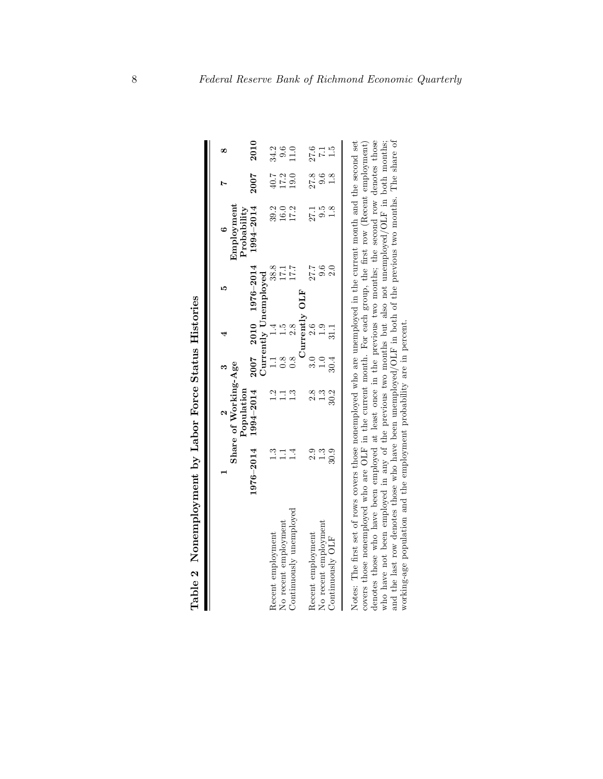| Table 2 Nonemployment by Labor Force Status Histories                                                                                                                                                                                                                                                                                                                                                                                                                                                                                                                                                                                                |               |                                    |                 |                  |                       |                           |                  |               |
|------------------------------------------------------------------------------------------------------------------------------------------------------------------------------------------------------------------------------------------------------------------------------------------------------------------------------------------------------------------------------------------------------------------------------------------------------------------------------------------------------------------------------------------------------------------------------------------------------------------------------------------------------|---------------|------------------------------------|-----------------|------------------|-----------------------|---------------------------|------------------|---------------|
|                                                                                                                                                                                                                                                                                                                                                                                                                                                                                                                                                                                                                                                      |               |                                    |                 | 4                | ١Q                    |                           |                  | œ             |
|                                                                                                                                                                                                                                                                                                                                                                                                                                                                                                                                                                                                                                                      |               | Share of Working-Age<br>Population |                 |                  |                       | Employment<br>Probability |                  |               |
|                                                                                                                                                                                                                                                                                                                                                                                                                                                                                                                                                                                                                                                      | 1976-2014     | $1994 - 2014$                      |                 |                  | $2007$ 2010 1976-2014 | $1994 - 2014$             | 2007             | 2010          |
|                                                                                                                                                                                                                                                                                                                                                                                                                                                                                                                                                                                                                                                      |               |                                    |                 |                  | Currently Unemployed  |                           |                  |               |
| Recent employment                                                                                                                                                                                                                                                                                                                                                                                                                                                                                                                                                                                                                                    | $\frac{3}{1}$ | 1.2                                |                 | 1.1 1.4          | 38.8                  | 39.2                      | 40.7             | 34.2          |
| No recent employment                                                                                                                                                                                                                                                                                                                                                                                                                                                                                                                                                                                                                                 | $\Box$        | $\Box$                             |                 |                  | 17.1                  | $16.0\,$                  | $17.2$<br>$19.0$ | 9.6           |
| Continuously unemployed                                                                                                                                                                                                                                                                                                                                                                                                                                                                                                                                                                                                                              | $\frac{1}{4}$ | 1.3                                |                 | $\frac{15}{2.8}$ | 17.7                  | 17.2                      |                  | 1.0           |
|                                                                                                                                                                                                                                                                                                                                                                                                                                                                                                                                                                                                                                                      |               |                                    |                 | Currently        | <b>DLF</b>            |                           |                  |               |
| Recent employment                                                                                                                                                                                                                                                                                                                                                                                                                                                                                                                                                                                                                                    | 2.9           | 2.8                                | $\frac{3.0}{3}$ | $2.6\phantom{0}$ | 27.7                  | 27.1                      | 27.8             | 27.6          |
| No recent employment                                                                                                                                                                                                                                                                                                                                                                                                                                                                                                                                                                                                                                 | 1.3           | 1.3                                |                 | 1.9              | 9.6                   | 9.5                       | 9.6              | $7.1\,$       |
| Continuously OLF                                                                                                                                                                                                                                                                                                                                                                                                                                                                                                                                                                                                                                     | 30.9          | 30.2                               |                 |                  |                       | 1.8                       | $\frac{8}{1}$    | $\frac{5}{1}$ |
| and the last row denotes those who have been unemployed/OLF in both of the previous two months. The share of<br>Notes: The first set of rows covers those nonemployed who are unemployed in the current month and the second set<br>covers those nonemployed who are OLF in the current month. For each group, the first row (Recent employment)<br>denotes those who have been employed at least once in the previous two months; the second row denotes those<br>who have not been employed in any of the previous two months but also not unemployed/OLF in both months;<br>working-age population and the employment probability are in percent. |               |                                    |                 |                  |                       |                           |                  |               |

| $\overline{\phantom{a}}$ district |
|-----------------------------------|
|                                   |
| Latating                          |
|                                   |
|                                   |
|                                   |
|                                   |
|                                   |
|                                   |
|                                   |
|                                   |
|                                   |
|                                   |
|                                   |
|                                   |
|                                   |
|                                   |
|                                   |
| Nonemployment by Lanor Hore       |
|                                   |
|                                   |
|                                   |
|                                   |
|                                   |
|                                   |
|                                   |
|                                   |
|                                   |
|                                   |
|                                   |
|                                   |
|                                   |
|                                   |
|                                   |
|                                   |
|                                   |
|                                   |
|                                   |
| Pahle ?                           |
|                                   |
|                                   |
|                                   |
|                                   |
|                                   |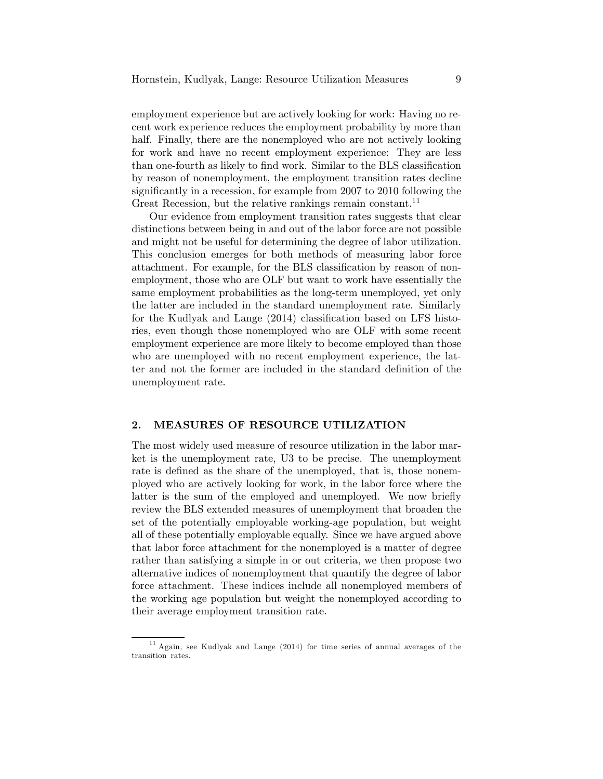employment experience but are actively looking for work: Having no recent work experience reduces the employment probability by more than half. Finally, there are the nonemployed who are not actively looking for work and have no recent employment experience: They are less than one-fourth as likely to find work. Similar to the BLS classification by reason of nonemployment, the employment transition rates decline significantly in a recession, for example from 2007 to 2010 following the Great Recession, but the relative rankings remain constant.<sup>11</sup>

Our evidence from employment transition rates suggests that clear distinctions between being in and out of the labor force are not possible and might not be useful for determining the degree of labor utilization. This conclusion emerges for both methods of measuring labor force attachment. For example, for the BLS classification by reason of nonemployment, those who are OLF but want to work have essentially the same employment probabilities as the long-term unemployed, yet only the latter are included in the standard unemployment rate. Similarly for the Kudlyak and Lange  $(2014)$  classification based on LFS histories, even though those nonemployed who are OLF with some recent employment experience are more likely to become employed than those who are unemployed with no recent employment experience, the latter and not the former are included in the standard definition of the unemployment rate.

## 2. MEASURES OF RESOURCE UTILIZATION

The most widely used measure of resource utilization in the labor market is the unemployment rate, U3 to be precise. The unemployment rate is defined as the share of the unemployed, that is, those nonemployed who are actively looking for work, in the labor force where the latter is the sum of the employed and unemployed. We now briefly review the BLS extended measures of unemployment that broaden the set of the potentially employable working-age population, but weight all of these potentially employable equally. Since we have argued above that labor force attachment for the nonemployed is a matter of degree rather than satisfying a simple in or out criteria, we then propose two alternative indices of nonemployment that quantify the degree of labor force attachment. These indices include all nonemployed members of the working age population but weight the nonemployed according to their average employment transition rate.

<sup>&</sup>lt;sup>11</sup> Again, see Kudlyak and Lange (2014) for time series of annual averages of the transition rates.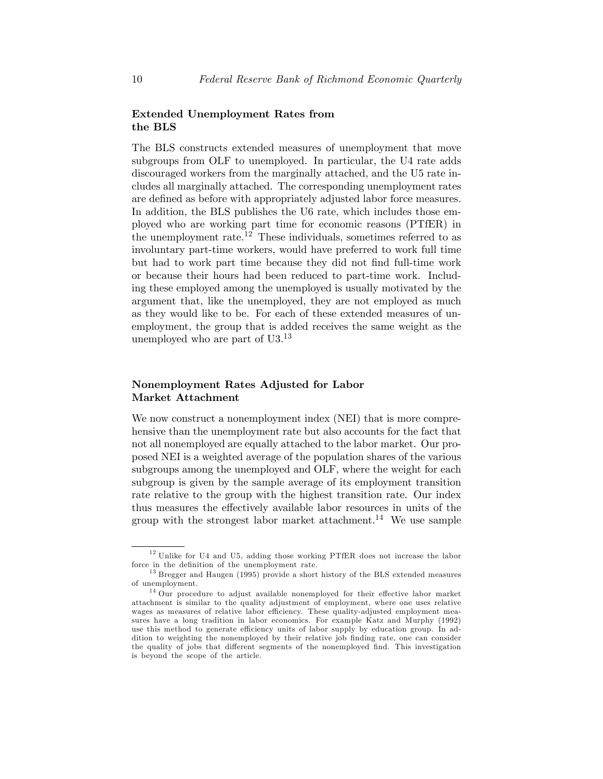# Extended Unemployment Rates from the BLS

The BLS constructs extended measures of unemployment that move subgroups from OLF to unemployed. In particular, the U4 rate adds discouraged workers from the marginally attached, and the U5 rate includes all marginally attached. The corresponding unemployment rates are defined as before with appropriately adjusted labor force measures. In addition, the BLS publishes the U6 rate, which includes those employed who are working part time for economic reasons (PTfER) in the unemployment rate.<sup>12</sup> These individuals, sometimes referred to as involuntary part-time workers, would have preferred to work full time but had to work part time because they did not Önd full-time work or because their hours had been reduced to part-time work. Including these employed among the unemployed is usually motivated by the argument that, like the unemployed, they are not employed as much as they would like to be. For each of these extended measures of unemployment, the group that is added receives the same weight as the unemployed who are part of  $U3.^{13}$ 

# Nonemployment Rates Adjusted for Labor Market Attachment

We now construct a nonemployment index (NEI) that is more comprehensive than the unemployment rate but also accounts for the fact that not all nonemployed are equally attached to the labor market. Our proposed NEI is a weighted average of the population shares of the various subgroups among the unemployed and OLF, where the weight for each subgroup is given by the sample average of its employment transition rate relative to the group with the highest transition rate. Our index thus measures the effectively available labor resources in units of the group with the strongest labor market attachment.<sup>14</sup> We use sample

 $12$  Unlike for U4 and U5, adding those working PTfER does not increase the labor force in the definition of the unemployment rate.

<sup>&</sup>lt;sup>13</sup> Bregger and Haugen (1995) provide a short history of the BLS extended measures of unemployment.

 $14$  Our procedure to adjust available nonemployed for their effective labor market attachment is similar to the quality adjustment of employment, where one uses relative wages as measures of relative labor efficiency. These quality-adjusted employment measures have a long tradition in labor economics. For example Katz and Murphy (1992) use this method to generate efficiency units of labor supply by education group. In addition to weighting the nonemployed by their relative job finding rate, one can consider the quality of jobs that different segments of the nonemployed find. This investigation is beyond the scope of the article.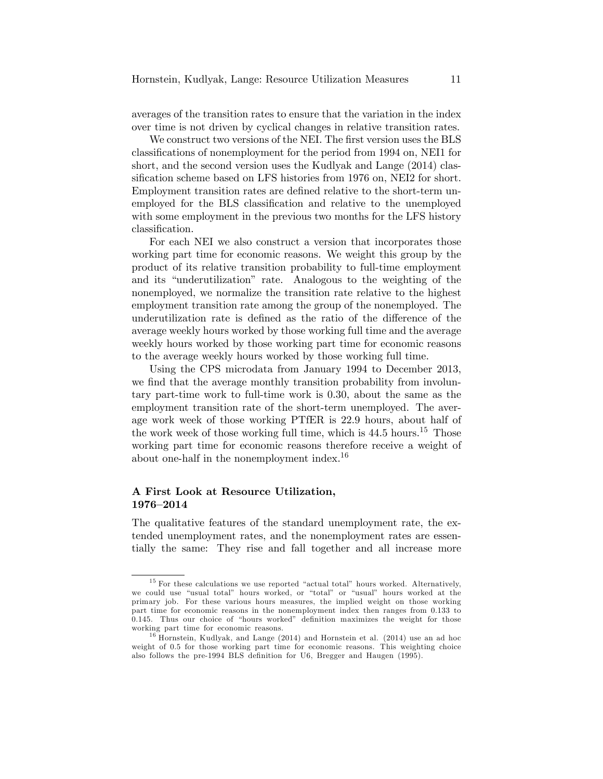averages of the transition rates to ensure that the variation in the index over time is not driven by cyclical changes in relative transition rates.

We construct two versions of the NEI. The first version uses the BLS classifications of nonemployment for the period from 1994 on, NEI1 for short, and the second version uses the Kudlyak and Lange (2014) classification scheme based on LFS histories from 1976 on, NEI2 for short. Employment transition rates are defined relative to the short-term unemployed for the BLS classification and relative to the unemployed with some employment in the previous two months for the LFS history classification.

For each NEI we also construct a version that incorporates those working part time for economic reasons. We weight this group by the product of its relative transition probability to full-time employment and its "underutilization" rate. Analogous to the weighting of the nonemployed, we normalize the transition rate relative to the highest employment transition rate among the group of the nonemployed. The underutilization rate is defined as the ratio of the difference of the average weekly hours worked by those working full time and the average weekly hours worked by those working part time for economic reasons to the average weekly hours worked by those working full time.

Using the CPS microdata from January 1994 to December 2013, we find that the average monthly transition probability from involuntary part-time work to full-time work is 0.30, about the same as the employment transition rate of the short-term unemployed. The average work week of those working PTfER is 22.9 hours, about half of the work week of those working full time, which is  $44.5$  hours.<sup>15</sup> Those working part time for economic reasons therefore receive a weight of about one-half in the nonemployment index.<sup>16</sup>

# A First Look at Resource Utilization, 1976-2014

The qualitative features of the standard unemployment rate, the extended unemployment rates, and the nonemployment rates are essentially the same: They rise and fall together and all increase more

 $15$  For these calculations we use reported "actual total" hours worked. Alternatively, we could use "usual total" hours worked, or "total" or "usual" hours worked at the primary job. For these various hours measures, the implied weight on those working part time for economic reasons in the nonemployment index then ranges from 0.133 to  $0.145$ . Thus our choice of "hours worked" definition maximizes the weight for those working part time for economic reasons.

 $16$  Hornstein, Kudlyak, and Lange (2014) and Hornstein et al. (2014) use an ad hoc weight of 0.5 for those working part time for economic reasons. This weighting choice also follows the pre-1994 BLS definition for U6, Bregger and Haugen (1995).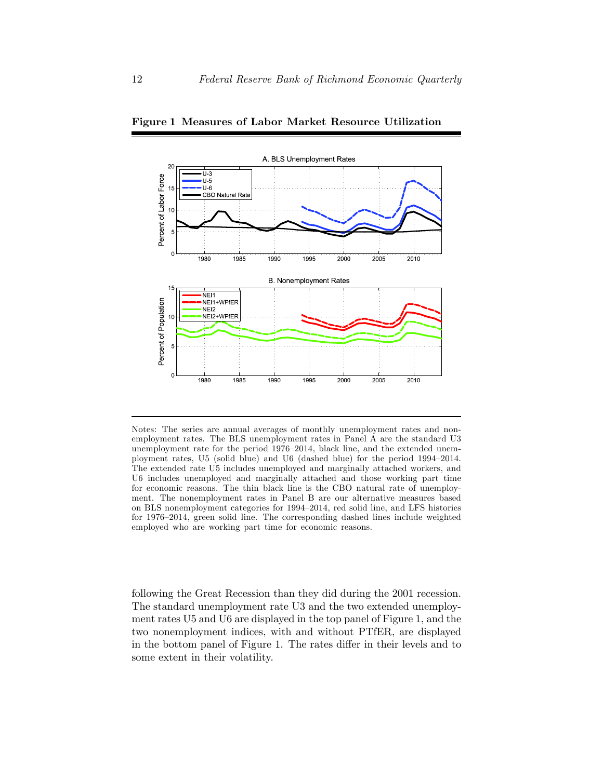

Figure 1 Measures of Labor Market Resource Utilization

Notes: The series are annual averages of monthly unemployment rates and nonemployment rates. The BLS unemployment rates in Panel A are the standard U3 unemployment rate for the period  $1976-2014$ , black line, and the extended unemployment rates, U5 (solid blue) and U6 (dashed blue) for the period  $1994-2014$ . The extended rate U5 includes unemployed and marginally attached workers, and U6 includes unemployed and marginally attached and those working part time for economic reasons. The thin black line is the CBO natural rate of unemployment. The nonemployment rates in Panel B are our alternative measures based on BLS nonemployment categories for 1994–2014, red solid line, and LFS histories for  $1976-2014$ , green solid line. The corresponding dashed lines include weighted employed who are working part time for economic reasons.

following the Great Recession than they did during the 2001 recession. The standard unemployment rate U3 and the two extended unemployment rates U5 and U6 are displayed in the top panel of Figure 1, and the two nonemployment indices, with and without PTfER, are displayed in the bottom panel of Figure 1. The rates differ in their levels and to some extent in their volatility.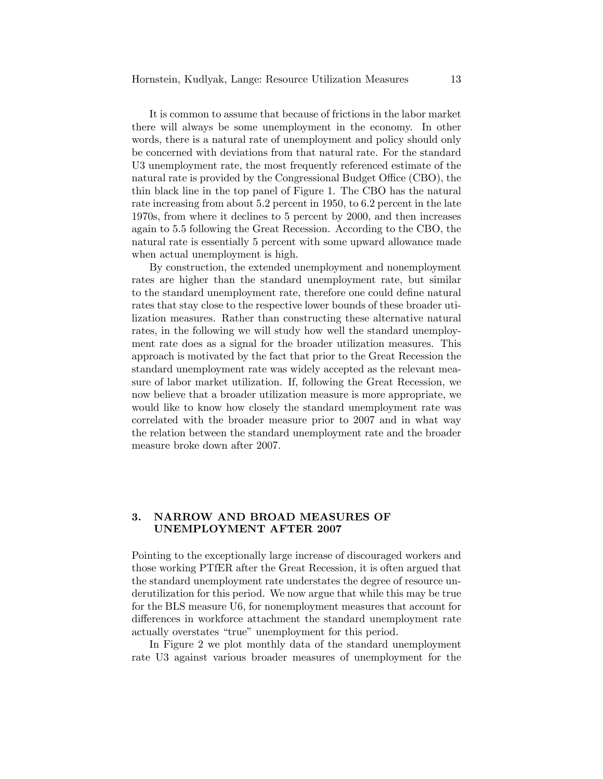It is common to assume that because of frictions in the labor market there will always be some unemployment in the economy. In other words, there is a natural rate of unemployment and policy should only be concerned with deviations from that natural rate. For the standard U3 unemployment rate, the most frequently referenced estimate of the natural rate is provided by the Congressional Budget Office (CBO), the thin black line in the top panel of Figure 1. The CBO has the natural rate increasing from about 5.2 percent in 1950, to 6.2 percent in the late 1970s, from where it declines to 5 percent by 2000, and then increases again to 5.5 following the Great Recession. According to the CBO, the natural rate is essentially 5 percent with some upward allowance made when actual unemployment is high.

By construction, the extended unemployment and nonemployment rates are higher than the standard unemployment rate, but similar to the standard unemployment rate, therefore one could define natural rates that stay close to the respective lower bounds of these broader utilization measures. Rather than constructing these alternative natural rates, in the following we will study how well the standard unemployment rate does as a signal for the broader utilization measures. This approach is motivated by the fact that prior to the Great Recession the standard unemployment rate was widely accepted as the relevant measure of labor market utilization. If, following the Great Recession, we now believe that a broader utilization measure is more appropriate, we would like to know how closely the standard unemployment rate was correlated with the broader measure prior to 2007 and in what way the relation between the standard unemployment rate and the broader measure broke down after 2007.

## 3. NARROW AND BROAD MEASURES OF UNEMPLOYMENT AFTER 2007

Pointing to the exceptionally large increase of discouraged workers and those working PTfER after the Great Recession, it is often argued that the standard unemployment rate understates the degree of resource underutilization for this period. We now argue that while this may be true for the BLS measure U6, for nonemployment measures that account for differences in workforce attachment the standard unemployment rate actually overstates "true" unemployment for this period.

In Figure 2 we plot monthly data of the standard unemployment rate U3 against various broader measures of unemployment for the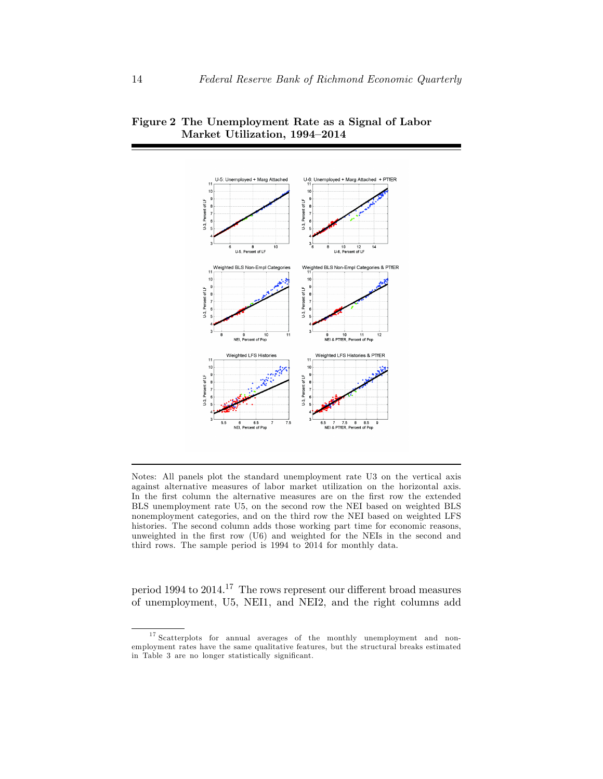

Figure 2 The Unemployment Rate as a Signal of Labor Market Utilization, 1994-2014

Notes: All panels plot the standard unemployment rate U3 on the vertical axis against alternative measures of labor market utilization on the horizontal axis. In the first column the alternative measures are on the first row the extended BLS unemployment rate U5, on the second row the NEI based on weighted BLS nonemployment categories, and on the third row the NEI based on weighted LFS histories. The second column adds those working part time for economic reasons, unweighted in the first row (U6) and weighted for the NEIs in the second and third rows. The sample period is 1994 to 2014 for monthly data.

period 1994 to  $2014$ .<sup>17</sup> The rows represent our different broad measures of unemployment, U5, NEI1, and NEI2, and the right columns add

<sup>&</sup>lt;sup>17</sup> Scatterplots for annual averages of the monthly unemployment and nonemployment rates have the same qualitative features, but the structural breaks estimated in Table 3 are no longer statistically significant.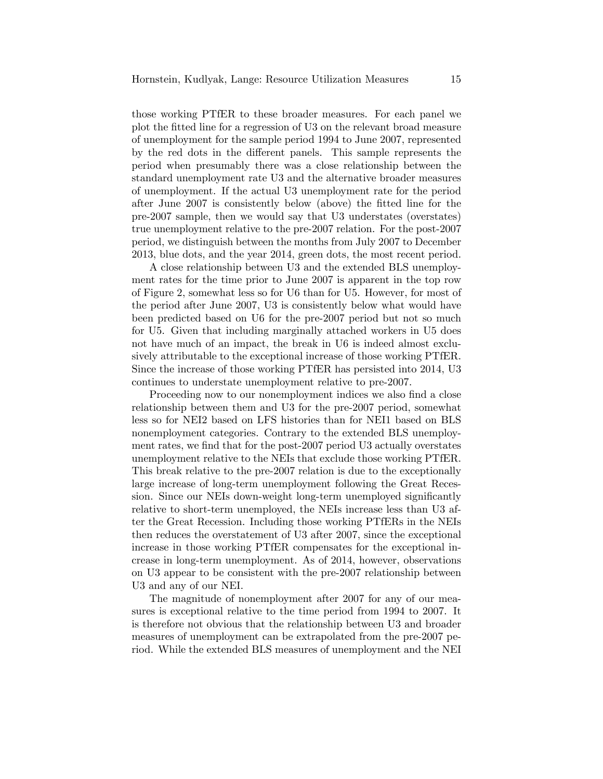those working PTfER to these broader measures. For each panel we plot the Ötted line for a regression of U3 on the relevant broad measure of unemployment for the sample period 1994 to June 2007, represented by the red dots in the different panels. This sample represents the period when presumably there was a close relationship between the standard unemployment rate U3 and the alternative broader measures of unemployment. If the actual U3 unemployment rate for the period after June 2007 is consistently below (above) the fitted line for the pre-2007 sample, then we would say that U3 understates (overstates) true unemployment relative to the pre-2007 relation. For the post-2007 period, we distinguish between the months from July 2007 to December 2013, blue dots, and the year 2014, green dots, the most recent period.

A close relationship between U3 and the extended BLS unemployment rates for the time prior to June 2007 is apparent in the top row of Figure 2, somewhat less so for U6 than for U5. However, for most of the period after June 2007, U3 is consistently below what would have been predicted based on U6 for the pre-2007 period but not so much for U5. Given that including marginally attached workers in U5 does not have much of an impact, the break in U6 is indeed almost exclusively attributable to the exceptional increase of those working PTfER. Since the increase of those working PTfER has persisted into 2014, U3 continues to understate unemployment relative to pre-2007.

Proceeding now to our nonemployment indices we also find a close relationship between them and U3 for the pre-2007 period, somewhat less so for NEI2 based on LFS histories than for NEI1 based on BLS nonemployment categories. Contrary to the extended BLS unemployment rates, we find that for the post-2007 period U3 actually overstates unemployment relative to the NEIs that exclude those working PTfER. This break relative to the pre-2007 relation is due to the exceptionally large increase of long-term unemployment following the Great Recession. Since our NEIs down-weight long-term unemployed significantly relative to short-term unemployed, the NEIs increase less than U3 after the Great Recession. Including those working PTfERs in the NEIs then reduces the overstatement of U3 after 2007, since the exceptional increase in those working PTfER compensates for the exceptional increase in long-term unemployment. As of 2014, however, observations on U3 appear to be consistent with the pre-2007 relationship between U3 and any of our NEI.

The magnitude of nonemployment after 2007 for any of our measures is exceptional relative to the time period from 1994 to 2007. It is therefore not obvious that the relationship between U3 and broader measures of unemployment can be extrapolated from the pre-2007 period. While the extended BLS measures of unemployment and the NEI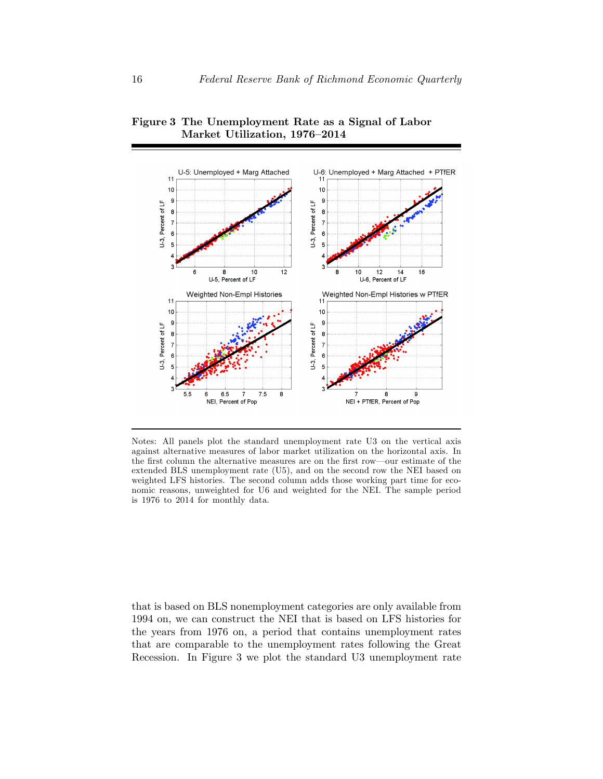

Figure 3 The Unemployment Rate as a Signal of Labor Market Utilization, 1976-2014

Notes: All panels plot the standard unemployment rate U3 on the vertical axis against alternative measures of labor market utilization on the horizontal axis. In the first column the alternative measures are on the first row—our estimate of the extended BLS unemployment rate (U5), and on the second row the NEI based on weighted LFS histories. The second column adds those working part time for economic reasons, unweighted for U6 and weighted for the NEI. The sample period is 1976 to 2014 for monthly data.

that is based on BLS nonemployment categories are only available from 1994 on, we can construct the NEI that is based on LFS histories for the years from 1976 on, a period that contains unemployment rates that are comparable to the unemployment rates following the Great Recession. In Figure 3 we plot the standard U3 unemployment rate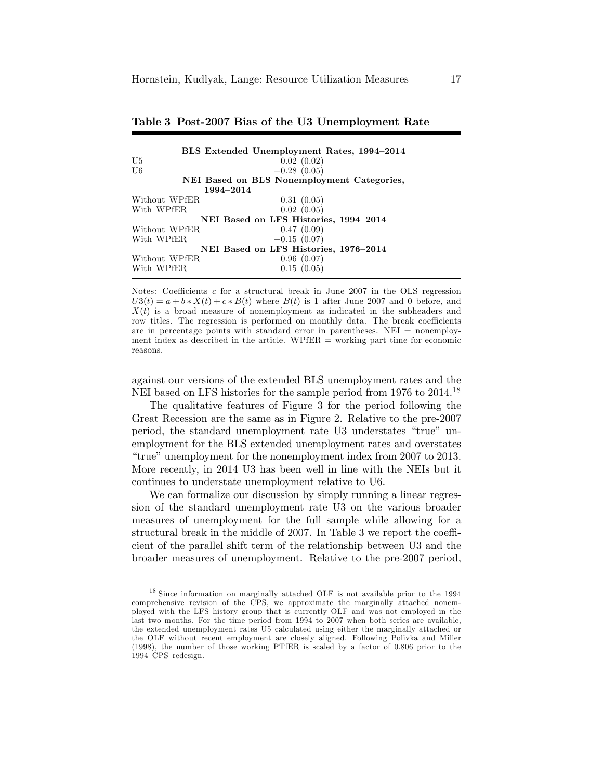|                                       | BLS Extended Unemployment Rates, 1994–2014 |  |  |  |  |
|---------------------------------------|--------------------------------------------|--|--|--|--|
| U5                                    | 0.02(0.02)                                 |  |  |  |  |
| U6                                    | $-0.28(0.05)$                              |  |  |  |  |
|                                       | NEI Based on BLS Nonemployment Categories, |  |  |  |  |
| 1994–2014                             |                                            |  |  |  |  |
| Without WPfER                         | 0.31(0.05)                                 |  |  |  |  |
| With WPfER                            | 0.02(0.05)                                 |  |  |  |  |
|                                       | NEI Based on LFS Histories, 1994-2014      |  |  |  |  |
| Without WPfER                         | 0.47(0.09)                                 |  |  |  |  |
| With WPfER                            | $-0.15(0.07)$                              |  |  |  |  |
| NEI Based on LFS Histories, 1976-2014 |                                            |  |  |  |  |
| Without WPfER                         | 0.96(0.07)                                 |  |  |  |  |
| With WPfER                            | 0.15(0.05)                                 |  |  |  |  |

|  |  |  |  |  |  | Table 3 Post-2007 Bias of the U3 Unemployment Rate |  |
|--|--|--|--|--|--|----------------------------------------------------|--|
|--|--|--|--|--|--|----------------------------------------------------|--|

Notes: Coefficients  $c$  for a structural break in June 2007 in the OLS regression  $U3(t) = a + b * X(t) + c * B(t)$  where  $B(t)$  is 1 after June 2007 and 0 before, and  $X(t)$  is a broad measure of nonemployment as indicated in the subheaders and row titles. The regression is performed on monthly data. The break coefficients are in percentage points with standard error in parentheses. NEI = nonemployment index as described in the article. WPfER  $=$  working part time for economic reasons.

against our versions of the extended BLS unemployment rates and the NEI based on LFS histories for the sample period from 1976 to 2014.<sup>18</sup>

The qualitative features of Figure 3 for the period following the Great Recession are the same as in Figure 2. Relative to the pre-2007 period, the standard unemployment rate U3 understates "true" unemployment for the BLS extended unemployment rates and overstates "true" unemployment for the nonemployment index from  $2007$  to  $2013$ . More recently, in 2014 U3 has been well in line with the NEIs but it continues to understate unemployment relative to U6.

We can formalize our discussion by simply running a linear regression of the standard unemployment rate U3 on the various broader measures of unemployment for the full sample while allowing for a structural break in the middle of  $2007$ . In Table 3 we report the coefficient of the parallel shift term of the relationship between U3 and the broader measures of unemployment. Relative to the pre-2007 period,

 $18$  Since information on marginally attached OLF is not available prior to the 1994 comprehensive revision of the CPS, we approximate the marginally attached nonemployed with the LFS history group that is currently OLF and was not employed in the last two months. For the time period from 1994 to 2007 when both series are available, the extended unemployment rates U5 calculated using either the marginally attached or the OLF without recent employment are closely aligned. Following Polivka and Miller (1998), the number of those working PTfER is scaled by a factor of 0.806 prior to the 1994 CPS redesign.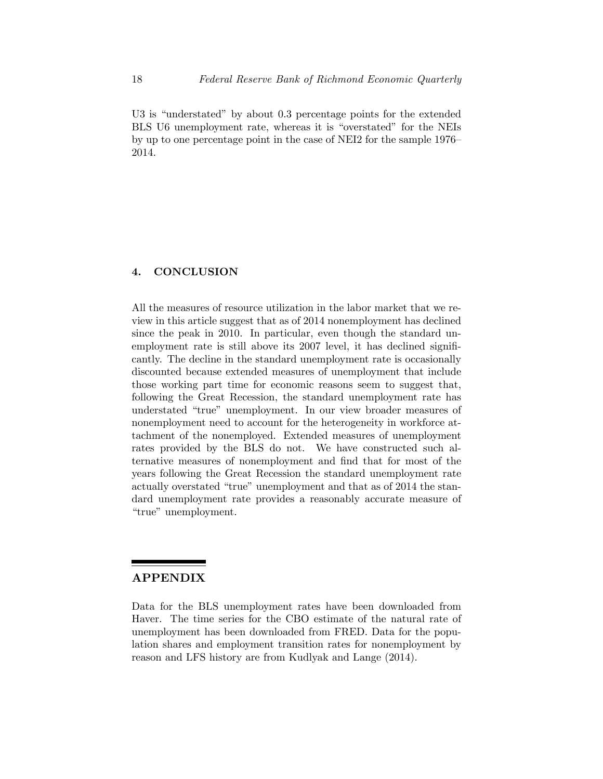U3 is "understated" by about 0.3 percentage points for the extended BLS U6 unemployment rate, whereas it is "overstated" for the NEIs by up to one percentage point in the case of NEI2 for the sample  $1976$ 2014.

## 4. CONCLUSION

All the measures of resource utilization in the labor market that we review in this article suggest that as of 2014 nonemployment has declined since the peak in 2010. In particular, even though the standard unemployment rate is still above its 2007 level, it has declined significantly. The decline in the standard unemployment rate is occasionally discounted because extended measures of unemployment that include those working part time for economic reasons seem to suggest that, following the Great Recession, the standard unemployment rate has understated "true" unemployment. In our view broader measures of nonemployment need to account for the heterogeneity in workforce attachment of the nonemployed. Extended measures of unemployment rates provided by the BLS do not. We have constructed such alternative measures of nonemployment and find that for most of the years following the Great Recession the standard unemployment rate actually overstated "true" unemployment and that as of 2014 the standard unemployment rate provides a reasonably accurate measure of ìtrueî unemployment.

# APPENDIX

Data for the BLS unemployment rates have been downloaded from Haver. The time series for the CBO estimate of the natural rate of unemployment has been downloaded from FRED. Data for the population shares and employment transition rates for nonemployment by reason and LFS history are from Kudlyak and Lange (2014).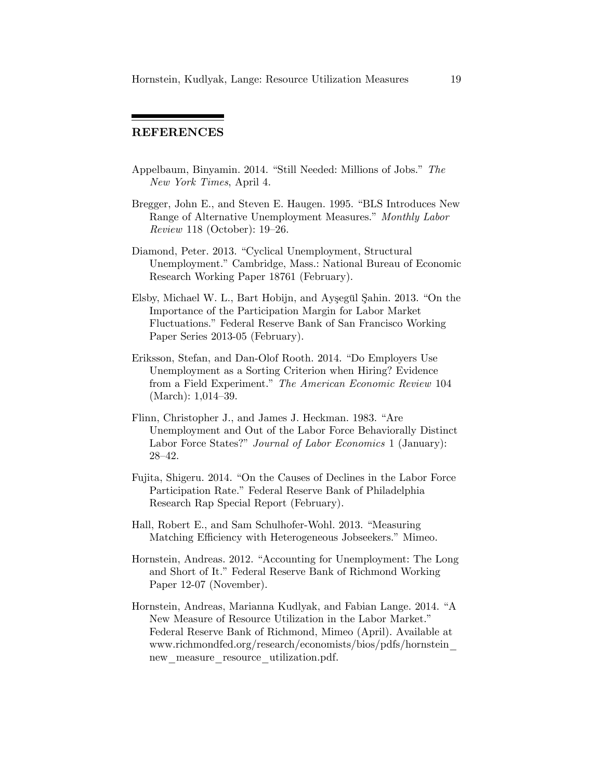# REFERENCES

- Appelbaum, Binyamin. 2014. "Still Needed: Millions of Jobs." The New York Times, April 4.
- Bregger, John E., and Steven E. Haugen. 1995. "BLS Introduces New Range of Alternative Unemployment Measures." Monthly Labor Review 118 (October):  $19-26$ .
- Diamond, Peter. 2013. "Cyclical Unemployment, Structural Unemployment." Cambridge, Mass.: National Bureau of Economic Research Working Paper 18761 (February).
- Elsby, Michael W. L., Bart Hobijn, and Aysegül Şahin. 2013. "On the Importance of the Participation Margin for Labor Market Fluctuations." Federal Reserve Bank of San Francisco Working Paper Series 2013-05 (February).
- Eriksson, Stefan, and Dan-Olof Rooth. 2014. "Do Employers Use Unemployment as a Sorting Criterion when Hiring? Evidence from a Field Experiment." The American Economic Review 104  $(March): 1,014–39.$
- Flinn, Christopher J., and James J. Heckman. 1983. "Are Unemployment and Out of the Labor Force Behaviorally Distinct Labor Force States?" Journal of Labor Economics 1 (January):  $28 - 42.$
- Fujita, Shigeru. 2014. "On the Causes of Declines in the Labor Force Participation Rate." Federal Reserve Bank of Philadelphia Research Rap Special Report (February).
- Hall, Robert E., and Sam Schulhofer-Wohl. 2013. "Measuring Matching Efficiency with Heterogeneous Jobseekers." Mimeo.
- Hornstein, Andreas. 2012. "Accounting for Unemployment: The Long and Short of It." Federal Reserve Bank of Richmond Working Paper 12-07 (November).
- Hornstein, Andreas, Marianna Kudlyak, and Fabian Lange. 2014. "A New Measure of Resource Utilization in the Labor Market." Federal Reserve Bank of Richmond, Mimeo (April). Available at www.richmondfed.org/research/economists/bios/pdfs/hornstein\_ new measure resource utilization.pdf.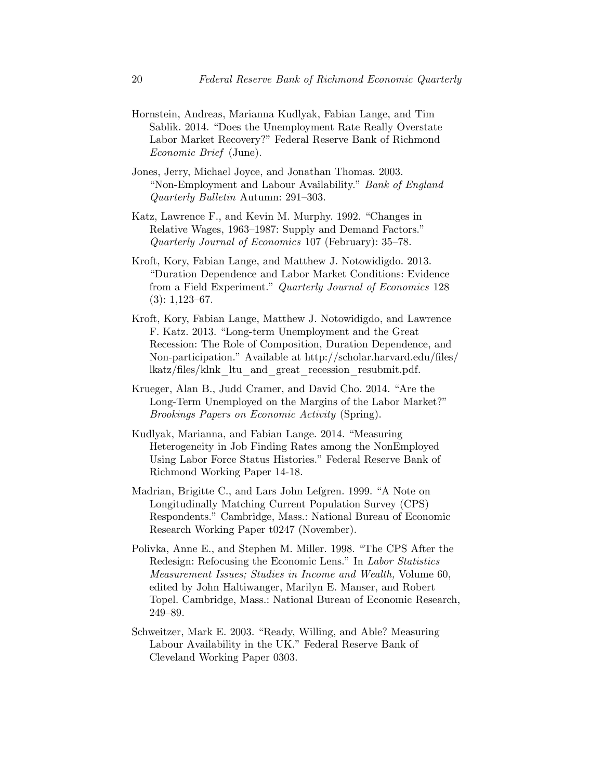- Hornstein, Andreas, Marianna Kudlyak, Fabian Lange, and Tim Sablik. 2014. "Does the Unemployment Rate Really Overstate Labor Market Recovery?" Federal Reserve Bank of Richmond Economic Brief (June).
- Jones, Jerry, Michael Joyce, and Jonathan Thomas. 2003. "Non-Employment and Labour Availability." Bank of England Quarterly Bulletin Autumn:  $291-303$ .
- Katz, Lawrence F., and Kevin M. Murphy. 1992. "Changes in Relative Wages, 1963–1987: Supply and Demand Factors." Quarterly Journal of Economics  $107$  (February):  $35-78$ .
- Kroft, Kory, Fabian Lange, and Matthew J. Notowidigdo. 2013. ìDuration Dependence and Labor Market Conditions: Evidence from a Field Experiment." Quarterly Journal of Economics 128  $(3): 1,123-67.$
- Kroft, Kory, Fabian Lange, Matthew J. Notowidigdo, and Lawrence F. Katz. 2013. "Long-term Unemployment and the Great Recession: The Role of Composition, Duration Dependence, and Non-participation." Available at http://scholar.harvard.edu/files/ lkatz/Öles/klnk\_ltu\_and\_great\_recession\_resubmit.pdf.
- Krueger, Alan B., Judd Cramer, and David Cho. 2014. "Are the Long-Term Unemployed on the Margins of the Labor Market?" Brookings Papers on Economic Activity (Spring).
- Kudlyak, Marianna, and Fabian Lange. 2014. "Measuring Heterogeneity in Job Finding Rates among the NonEmployed Using Labor Force Status Histories." Federal Reserve Bank of Richmond Working Paper 14-18.
- Madrian, Brigitte C., and Lars John Lefgren. 1999. "A Note on Longitudinally Matching Current Population Survey (CPS) Respondents." Cambridge, Mass.: National Bureau of Economic Research Working Paper t0247 (November).
- Polivka, Anne E., and Stephen M. Miller. 1998. "The CPS After the Redesign: Refocusing the Economic Lens." In Labor Statistics Measurement Issues; Studies in Income and Wealth, Volume 60, edited by John Haltiwanger, Marilyn E. Manser, and Robert Topel. Cambridge, Mass.: National Bureau of Economic Research, 249-89.
- Schweitzer, Mark E. 2003. "Ready, Willing, and Able? Measuring Labour Availability in the UK." Federal Reserve Bank of Cleveland Working Paper 0303.